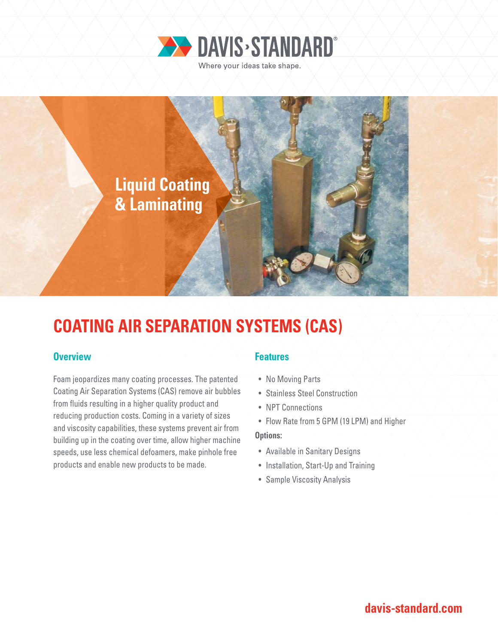



# **COATING AIR SEPARATION SYSTEMS (CAS)**

### **Overview Features**

Foam jeopardizes many coating processes. The patented Coating Air Separation Systems (CAS) remove air bubbles from fluids resulting in a higher quality product and reducing production costs. Coming in a variety of sizes and viscosity capabilities, these systems prevent air from building up in the coating over time, allow higher machine speeds, use less chemical defoamers, make pinhole free products and enable new products to be made.

- No Moving Parts
- Stainless Steel Construction
- NPT Connections
- Flow Rate from 5 GPM (19 LPM) and Higher

### **Options:**

- Available in Sanitary Designs
- Installation, Start-Up and Training
- Sample Viscosity Analysis